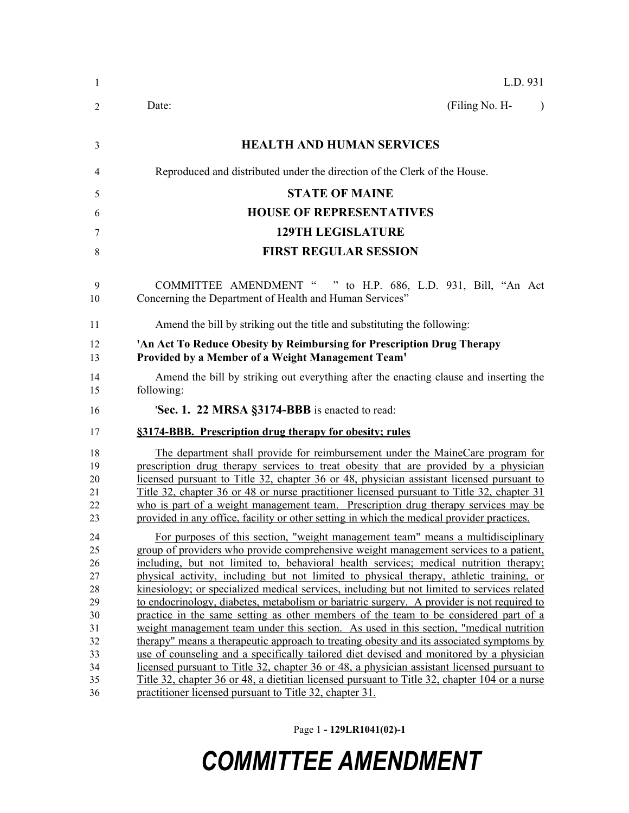| L.D. 931                                                                                                                                                                                                                                                                                                                                                                                                                                                                                                                                                                                                                                                                                                                                                                                                                                                                                                                                                                                                                                                                                                                                                                                       |  |  |  |
|------------------------------------------------------------------------------------------------------------------------------------------------------------------------------------------------------------------------------------------------------------------------------------------------------------------------------------------------------------------------------------------------------------------------------------------------------------------------------------------------------------------------------------------------------------------------------------------------------------------------------------------------------------------------------------------------------------------------------------------------------------------------------------------------------------------------------------------------------------------------------------------------------------------------------------------------------------------------------------------------------------------------------------------------------------------------------------------------------------------------------------------------------------------------------------------------|--|--|--|
| (Filing No. H-<br>Date:<br>$\lambda$                                                                                                                                                                                                                                                                                                                                                                                                                                                                                                                                                                                                                                                                                                                                                                                                                                                                                                                                                                                                                                                                                                                                                           |  |  |  |
| <b>HEALTH AND HUMAN SERVICES</b>                                                                                                                                                                                                                                                                                                                                                                                                                                                                                                                                                                                                                                                                                                                                                                                                                                                                                                                                                                                                                                                                                                                                                               |  |  |  |
| Reproduced and distributed under the direction of the Clerk of the House.                                                                                                                                                                                                                                                                                                                                                                                                                                                                                                                                                                                                                                                                                                                                                                                                                                                                                                                                                                                                                                                                                                                      |  |  |  |
| <b>STATE OF MAINE</b>                                                                                                                                                                                                                                                                                                                                                                                                                                                                                                                                                                                                                                                                                                                                                                                                                                                                                                                                                                                                                                                                                                                                                                          |  |  |  |
| <b>HOUSE OF REPRESENTATIVES</b>                                                                                                                                                                                                                                                                                                                                                                                                                                                                                                                                                                                                                                                                                                                                                                                                                                                                                                                                                                                                                                                                                                                                                                |  |  |  |
| <b>129TH LEGISLATURE</b>                                                                                                                                                                                                                                                                                                                                                                                                                                                                                                                                                                                                                                                                                                                                                                                                                                                                                                                                                                                                                                                                                                                                                                       |  |  |  |
| <b>FIRST REGULAR SESSION</b>                                                                                                                                                                                                                                                                                                                                                                                                                                                                                                                                                                                                                                                                                                                                                                                                                                                                                                                                                                                                                                                                                                                                                                   |  |  |  |
| COMMITTEE AMENDMENT " " to H.P. 686, L.D. 931, Bill, "An Act<br>Concerning the Department of Health and Human Services"                                                                                                                                                                                                                                                                                                                                                                                                                                                                                                                                                                                                                                                                                                                                                                                                                                                                                                                                                                                                                                                                        |  |  |  |
| Amend the bill by striking out the title and substituting the following:                                                                                                                                                                                                                                                                                                                                                                                                                                                                                                                                                                                                                                                                                                                                                                                                                                                                                                                                                                                                                                                                                                                       |  |  |  |
| 'An Act To Reduce Obesity by Reimbursing for Prescription Drug Therapy<br>Provided by a Member of a Weight Management Team'                                                                                                                                                                                                                                                                                                                                                                                                                                                                                                                                                                                                                                                                                                                                                                                                                                                                                                                                                                                                                                                                    |  |  |  |
| Amend the bill by striking out everything after the enacting clause and inserting the<br>following:                                                                                                                                                                                                                                                                                                                                                                                                                                                                                                                                                                                                                                                                                                                                                                                                                                                                                                                                                                                                                                                                                            |  |  |  |
| 'Sec. 1. 22 MRSA §3174-BBB is enacted to read:                                                                                                                                                                                                                                                                                                                                                                                                                                                                                                                                                                                                                                                                                                                                                                                                                                                                                                                                                                                                                                                                                                                                                 |  |  |  |
| §3174-BBB. Prescription drug therapy for obesity; rules                                                                                                                                                                                                                                                                                                                                                                                                                                                                                                                                                                                                                                                                                                                                                                                                                                                                                                                                                                                                                                                                                                                                        |  |  |  |
| The department shall provide for reimbursement under the MaineCare program for<br>prescription drug therapy services to treat obesity that are provided by a physician<br>licensed pursuant to Title 32, chapter 36 or 48, physician assistant licensed pursuant to<br>Title 32, chapter 36 or 48 or nurse practitioner licensed pursuant to Title 32, chapter 31<br>who is part of a weight management team. Prescription drug therapy services may be<br>provided in any office, facility or other setting in which the medical provider practices.                                                                                                                                                                                                                                                                                                                                                                                                                                                                                                                                                                                                                                          |  |  |  |
| For purposes of this section, "weight management team" means a multidisciplinary<br>group of providers who provide comprehensive weight management services to a patient,<br>including, but not limited to, behavioral health services; medical nutrition therapy;<br>physical activity, including but not limited to physical therapy, athletic training, or<br>kinesiology; or specialized medical services, including but not limited to services related<br>to endocrinology, diabetes, metabolism or bariatric surgery. A provider is not required to<br>practice in the same setting as other members of the team to be considered part of a<br>weight management team under this section. As used in this section, "medical nutrition<br>therapy" means a therapeutic approach to treating obesity and its associated symptoms by<br>use of counseling and a specifically tailored diet devised and monitored by a physician<br>licensed pursuant to Title 32, chapter 36 or 48, a physician assistant licensed pursuant to<br>Title 32, chapter 36 or 48, a dietitian licensed pursuant to Title 32, chapter 104 or a nurse<br>practitioner licensed pursuant to Title 32, chapter 31. |  |  |  |

Page 1 **- 129LR1041(02)-1**

## *COMMITTEE AMENDMENT*